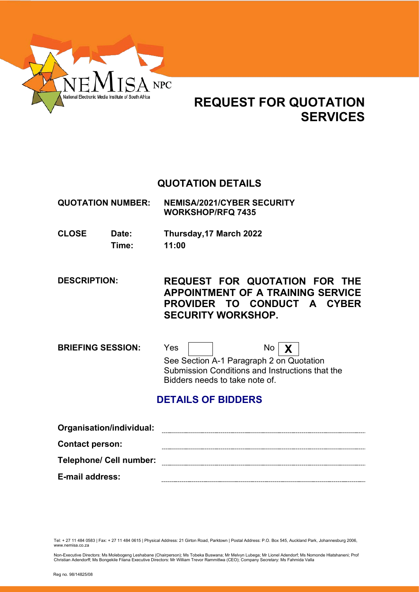

# **REQUEST FOR QUOTATION SERVICES**

## **QUOTATION DETAILS**

**QUOTATION NUMBER: NEMISA/2021/CYBER SECURITY WORKSHOP/RFQ 7435**

**CLOSE Date: Thursday,17 March 2022 Time: 11:00**

**DESCRIPTION: REQUEST FOR QUOTATION FOR THE APPOINTMENT OF A TRAINING SERVICE PROVIDER TO CONDUCT A CYBER SECURITY WORKSHOP.**

**BRIEFING SESSION:** Yes | | No | **X** See Section A-1 Paragraph 2 on Quotation Submission Conditions and Instructions that the Bidders needs to take note of.

# **DETAILS OF BIDDERS**

| Organisation/individual:       |  |
|--------------------------------|--|
| <b>Contact person:</b>         |  |
| <b>Telephone/ Cell number:</b> |  |
| <b>E-mail address:</b>         |  |

Tel: + 27 11 484 0583 | Fax: + 27 11 484 0615 | Physical Address: 21 Girton Road, Parktown | Postal Address: P.O. Box 545, Auckland Park, Johannesburg 2006, www.nemisa.co.za

Non-Executive Directors: Ms Molebogeng Leshabane (Chairperson); Ms Tobeka Buswana; Mr Melvyn Lubega; Mr Lionel Adendorf; Ms Nomonde Hlatshaneni; Prof<br>Christian Adendorff; Ms Bongekile Filana Executive Directors: Mr William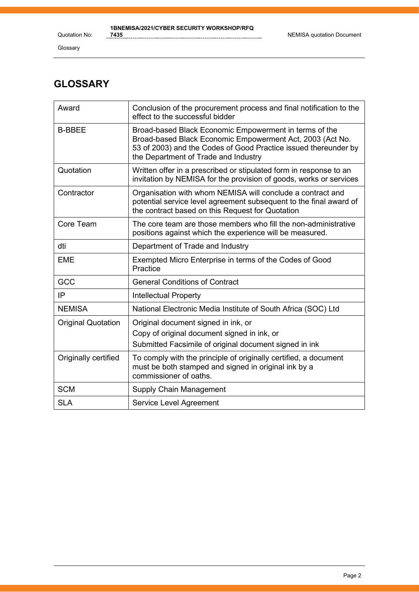Quotation No:

Glossary

# **GLOSSARY**

| Award                     | Conclusion of the procurement process and final notification to the<br>effect to the successful bidder                                                                                                                         |
|---------------------------|--------------------------------------------------------------------------------------------------------------------------------------------------------------------------------------------------------------------------------|
| <b>B-BBEE</b>             | Broad-based Black Economic Empowerment in terms of the<br>Broad-based Black Economic Empowerment Act, 2003 (Act No.<br>53 of 2003) and the Codes of Good Practice issued thereunder by<br>the Department of Trade and Industry |
| Quotation                 | Written offer in a prescribed or stipulated form in response to an<br>invitation by NEMISA for the provision of goods, works or services                                                                                       |
| Contractor                | Organisation with whom NEMISA will conclude a contract and<br>potential service level agreement subsequent to the final award of<br>the contract based on this Request for Quotation                                           |
| Core Team                 | The core team are those members who fill the non-administrative<br>positions against which the experience will be measured.                                                                                                    |
| dti                       | Department of Trade and Industry                                                                                                                                                                                               |
| <b>EME</b>                | Exempted Micro Enterprise in terms of the Codes of Good<br>Practice                                                                                                                                                            |
| GCC                       | <b>General Conditions of Contract</b>                                                                                                                                                                                          |
| IP                        | <b>Intellectual Property</b>                                                                                                                                                                                                   |
| <b>NEMISA</b>             | National Electronic Media Institute of South Africa (SOC) Ltd                                                                                                                                                                  |
| <b>Original Quotation</b> | Original document signed in ink, or                                                                                                                                                                                            |
|                           | Copy of original document signed in ink, or<br>Submitted Facsimile of original document signed in ink                                                                                                                          |
| Originally certified      | To comply with the principle of originally certified, a document<br>must be both stamped and signed in original ink by a<br>commissioner of oaths.                                                                             |
| <b>SCM</b>                | Supply Chain Management                                                                                                                                                                                                        |
| <b>SLA</b>                | Service Level Agreement                                                                                                                                                                                                        |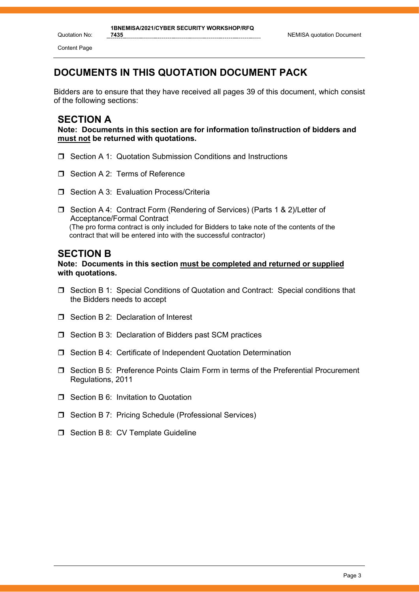Content Page

## **DOCUMENTS IN THIS QUOTATION DOCUMENT PACK**

Bidders are to ensure that they have received all pages 39 of this document, which consist of the following sections:

### **SECTION A**

**Note: Documents in this section are for information to/instruction of bidders and must not be returned with quotations.**

- □ Section A 1: Quotation Submission Conditions and Instructions
- Section A 2: Terms of Reference
- Section A 3: Evaluation Process/Criteria
- □ Section A 4: Contract Form (Rendering of Services) (Parts 1 & 2)/Letter of Acceptance/Formal Contract (The pro forma contract is only included for Bidders to take note of the contents of the contract that will be entered into with the successful contractor)

#### **SECTION B**

**Note: Documents in this section must be completed and returned or supplied with quotations.**

- Section B 1: Special Conditions of Quotation and Contract: Special conditions that the Bidders needs to accept
- □ Section B 2: Declaration of Interest
- $\Box$  Section B 3: Declaration of Bidders past SCM practices
- □ Section B 4: Certificate of Independent Quotation Determination
- Section B 5: Preference Points Claim Form in terms of the Preferential Procurement Regulations, 2011
- **T** Section B 6: Invitation to Quotation
- □ Section B 7: Pricing Schedule (Professional Services)
- $\Box$  Section B 8: CV Template Guideline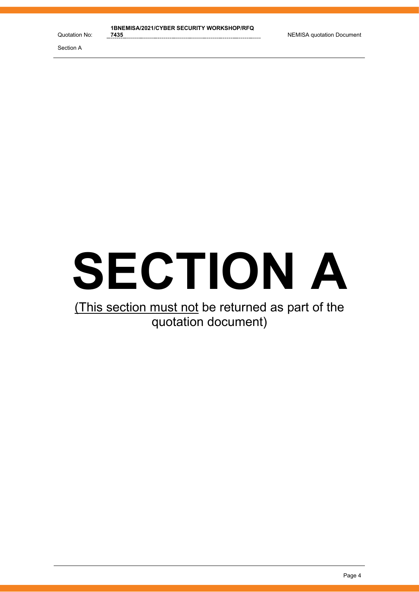# **SECTION A**

# (This section must not be returned as part of the quotation document)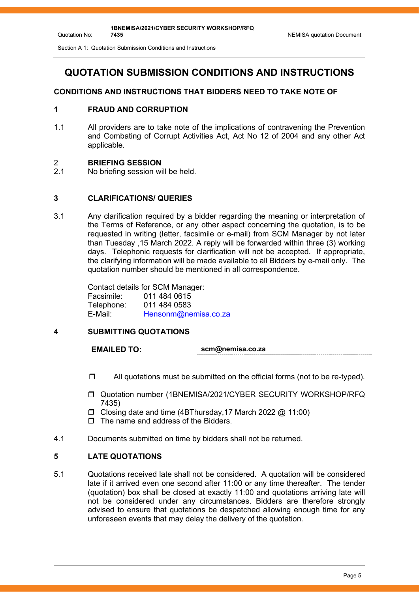# **QUOTATION SUBMISSION CONDITIONS AND INSTRUCTIONS**

#### **CONDITIONS AND INSTRUCTIONS THAT BIDDERS NEED TO TAKE NOTE OF**

#### **1 FRAUD AND CORRUPTION**

1.1 All providers are to take note of the implications of contravening the Prevention and Combating of Corrupt Activities Act, Act No 12 of 2004 and any other Act applicable.

# 2 **BRIEFING SESSION**

Quotation No:

No briefing session will be held.

#### **3 CLARIFICATIONS/ QUERIES**

3.1 Any clarification required by a bidder regarding the meaning or interpretation of the Terms of Reference, or any other aspect concerning the quotation, is to be requested in writing (letter, facsimile or e-mail) from SCM Manager by not later than Tuesday ,15 March 2022. A reply will be forwarded within three (3) working days. Telephonic requests for clarification will not be accepted. If appropriate, the clarifying information will be made available to all Bidders by e-mail only. The quotation number should be mentioned in all correspondence.

> Contact details for SCM Manager: Facsimile: 011 484 0615 011 484 0583 E-Mail: [Hensonm@nemisa.co.za](mailto:Hensonm@nemisa.co.za)

#### **4 SUBMITTING QUOTATIONS**

**EMAILED TO: scm@nemisa.co.za**

- $\Box$  All quotations must be submitted on the official forms (not to be re-typed).
- Quotation number (1BNEMISA/2021/CYBER SECURITY WORKSHOP/RFQ 7435)
- $\Box$  Closing date and time (4BThursday, 17 March 2022 @ 11:00)
- $\Box$  The name and address of the Bidders.
- 4.1 Documents submitted on time by bidders shall not be returned.

#### **5 LATE QUOTATIONS**

5.1 Quotations received late shall not be considered. A quotation will be considered late if it arrived even one second after 11:00 or any time thereafter. The tender (quotation) box shall be closed at exactly 11:00 and quotations arriving late will not be considered under any circumstances. Bidders are therefore strongly advised to ensure that quotations be despatched allowing enough time for any unforeseen events that may delay the delivery of the quotation.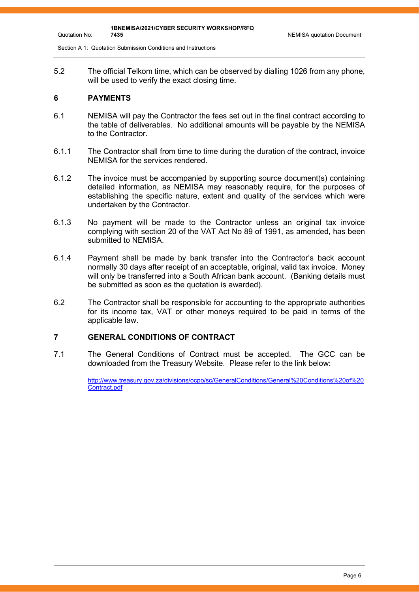5.2 The official Telkom time, which can be observed by dialling 1026 from any phone, will be used to verify the exact closing time.

#### **6 PAYMENTS**

Quotation No:

- 6.1 NEMISA will pay the Contractor the fees set out in the final contract according to the table of deliverables. No additional amounts will be payable by the NEMISA to the Contractor.
- 6.1.1 The Contractor shall from time to time during the duration of the contract, invoice NEMISA for the services rendered.
- 6.1.2 The invoice must be accompanied by supporting source document(s) containing detailed information, as NEMISA may reasonably require, for the purposes of establishing the specific nature, extent and quality of the services which were undertaken by the Contractor.
- 6.1.3 No payment will be made to the Contractor unless an original tax invoice complying with section 20 of the VAT Act No 89 of 1991, as amended, has been submitted to NEMISA.
- 6.1.4 Payment shall be made by bank transfer into the Contractor's back account normally 30 days after receipt of an acceptable, original, valid tax invoice. Money will only be transferred into a South African bank account. (Banking details must be submitted as soon as the quotation is awarded).
- 6.2 The Contractor shall be responsible for accounting to the appropriate authorities for its income tax, VAT or other moneys required to be paid in terms of the applicable law.

#### **7 GENERAL CONDITIONS OF CONTRACT**

7.1 The General Conditions of Contract must be accepted. The GCC can be downloaded from the Treasury Website. Please refer to the link below:

> [http://www.treasury.gov.za/divisions/ocpo/sc/GeneralConditions/General%20Conditions%20of%20](http://www.treasury.gov.za/divisions/ocpo/sc/GeneralConditions/General%20Conditions%20of%20Contract.pdf) [Contract.pdf](http://www.treasury.gov.za/divisions/ocpo/sc/GeneralConditions/General%20Conditions%20of%20Contract.pdf)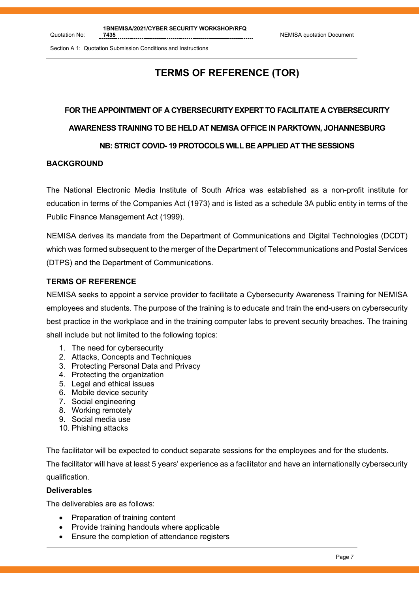# **TERMS OF REFERENCE (TOR)**

# **FOR THE APPOINTMENT OF A CYBERSECURITY EXPERT TO FACILITATE A CYBERSECURITY AWARENESS TRAINING TO BE HELD AT NEMISA OFFICE IN PARKTOWN, JOHANNESBURG**

#### **NB: STRICT COVID- 19 PROTOCOLS WILL BE APPLIED AT THE SESSIONS**

#### **BACKGROUND**

Quotation No:

The National Electronic Media Institute of South Africa was established as a non-profit institute for education in terms of the Companies Act (1973) and is listed as a schedule 3A public entity in terms of the Public Finance Management Act (1999).

NEMISA derives its mandate from the Department of Communications and Digital Technologies (DCDT) which was formed subsequent to the merger of the Department of Telecommunications and Postal Services (DTPS) and the Department of Communications.

#### **TERMS OF REFERENCE**

NEMISA seeks to appoint a service provider to facilitate a Cybersecurity Awareness Training for NEMISA employees and students. The purpose of the training is to educate and train the end-users on cybersecurity best practice in the workplace and in the training computer labs to prevent security breaches. The training shall include but not limited to the following topics:

- 1. The need for cybersecurity
- 2. Attacks, Concepts and Techniques
- 3. Protecting Personal Data and Privacy
- 4. Protecting the organization
- 5. Legal and ethical issues
- 6. Mobile device security
- 7. Social engineering
- 8. Working remotely
- 9. Social media use
- 10. Phishing attacks

The facilitator will be expected to conduct separate sessions for the employees and for the students.

The facilitator will have at least 5 years' experience as a facilitator and have an internationally cybersecurity qualification.

#### **Deliverables**

The deliverables are as follows:

- Preparation of training content
- Provide training handouts where applicable
- Ensure the completion of attendance registers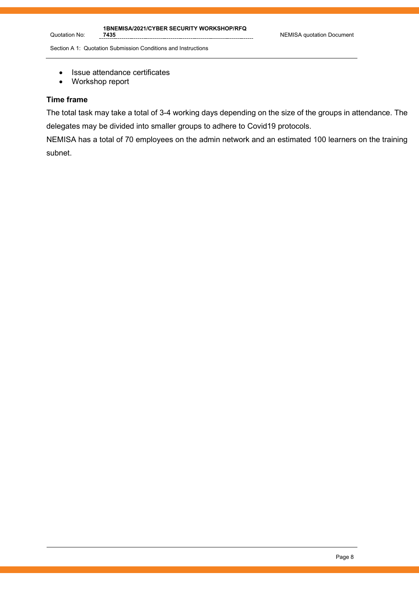- Issue attendance certificates<br>• Workshop report
- Workshop report

#### **Time frame**

Quotation No:

The total task may take a total of 3-4 working days depending on the size of the groups in attendance. The delegates may be divided into smaller groups to adhere to Covid19 protocols.

NEMISA has a total of 70 employees on the admin network and an estimated 100 learners on the training subnet.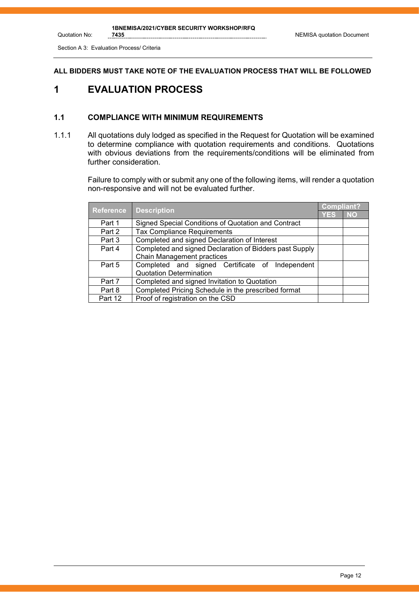**NEMISA quotation Document** 

Section A 3: Evaluation Process/ Criteria

Quotation No:

#### **ALL BIDDERS MUST TAKE NOTE OF THE EVALUATION PROCESS THAT WILL BE FOLLOWED**

## **1 EVALUATION PROCESS**

#### **1.1 COMPLIANCE WITH MINIMUM REQUIREMENTS**

1.1.1 All quotations duly lodged as specified in the Request for Quotation will be examined to determine compliance with quotation requirements and conditions. Quotations with obvious deviations from the requirements/conditions will be eliminated from further consideration.

> Failure to comply with or submit any one of the following items, will render a quotation non-responsive and will not be evaluated further.

| <b>Reference</b> | <b>Description</b>                                      | <b>Compliant?</b> |           |
|------------------|---------------------------------------------------------|-------------------|-----------|
|                  |                                                         | YES               | <b>NO</b> |
| Part 1           | Signed Special Conditions of Quotation and Contract     |                   |           |
| Part 2           | <b>Tax Compliance Requirements</b>                      |                   |           |
| Part 3           | Completed and signed Declaration of Interest            |                   |           |
| Part 4           | Completed and signed Declaration of Bidders past Supply |                   |           |
|                  | Chain Management practices                              |                   |           |
| Part 5           | Completed and signed Certificate of Independent         |                   |           |
|                  | <b>Quotation Determination</b>                          |                   |           |
| Part 7           | Completed and signed Invitation to Quotation            |                   |           |
| Part 8           | Completed Pricing Schedule in the prescribed format     |                   |           |
| Part 12          | Proof of registration on the CSD                        |                   |           |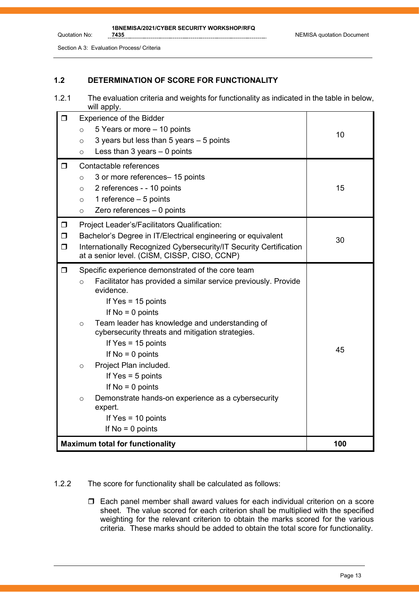Section A 3: Evaluation Process/ Criteria

Quotation No:

#### **1.2 DETERMINATION OF SCORE FOR FUNCTIONALITY**

1.2.1 The evaluation criteria and weights for functionality as indicated in the table in below, will apply.

| $\Box$                     | <b>Experience of the Bidder</b><br>5 Years or more - 10 points<br>$\circ$<br>3 years but less than 5 years - 5 points<br>$\circ$<br>Less than $3$ years $-$ 0 points<br>$\circ$                                                                                                                                                                                                                                                                                                                                                                                      | 10  |
|----------------------------|----------------------------------------------------------------------------------------------------------------------------------------------------------------------------------------------------------------------------------------------------------------------------------------------------------------------------------------------------------------------------------------------------------------------------------------------------------------------------------------------------------------------------------------------------------------------|-----|
| $\Box$                     | Contactable references<br>3 or more references- 15 points<br>$\circ$<br>2 references - - 10 points<br>$\circ$<br>1 reference $-5$ points<br>$\circ$<br>Zero references $-0$ points<br>$\circ$                                                                                                                                                                                                                                                                                                                                                                        | 15  |
| $\Box$<br>$\Box$<br>$\Box$ | Project Leader's/Facilitators Qualification:<br>Bachelor's Degree in IT/Electrical engineering or equivalent<br>Internationally Recognized Cybersecurity/IT Security Certification<br>at a senior level. (CISM, CISSP, CISO, CCNP)                                                                                                                                                                                                                                                                                                                                   | 30  |
| $\Box$                     | Specific experience demonstrated of the core team<br>Facilitator has provided a similar service previously. Provide<br>$\circ$<br>evidence.<br>If $Yes = 15$ points<br>If $No = 0$ points<br>Team leader has knowledge and understanding of<br>$\circ$<br>cybersecurity threats and mitigation strategies.<br>If $Yes = 15$ points<br>If $No = 0$ points<br>Project Plan included.<br>$\circ$<br>If $Yes = 5 points$<br>If $No = 0$ points<br>Demonstrate hands-on experience as a cybersecurity<br>$\circ$<br>expert.<br>If $Yes = 10 points$<br>If $No = 0$ points | 45  |
|                            | <b>Maximum total for functionality</b>                                                                                                                                                                                                                                                                                                                                                                                                                                                                                                                               | 100 |

#### 1.2.2 The score for functionality shall be calculated as follows:

 Each panel member shall award values for each individual criterion on a score sheet. The value scored for each criterion shall be multiplied with the specified weighting for the relevant criterion to obtain the marks scored for the various criteria. These marks should be added to obtain the total score for functionality.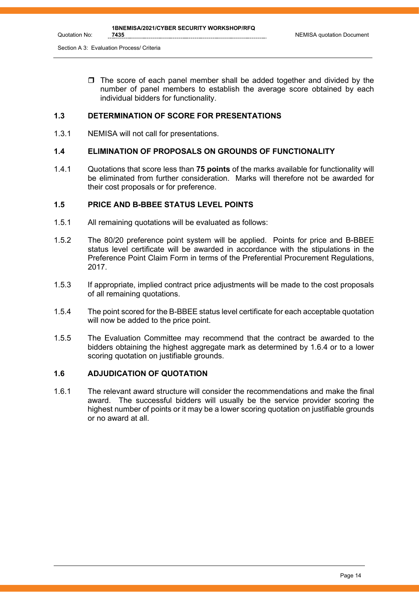Section A 3: Evaluation Process/ Criteria

Quotation No:

 $\Box$  The score of each panel member shall be added together and divided by the number of panel members to establish the average score obtained by each individual bidders for functionality.

#### **1.3 DETERMINATION OF SCORE FOR PRESENTATIONS**

1.3.1 NEMISA will not call for presentations.

#### **1.4 ELIMINATION OF PROPOSALS ON GROUNDS OF FUNCTIONALITY**

1.4.1 Quotations that score less than **75 points** of the marks available for functionality will be eliminated from further consideration. Marks will therefore not be awarded for their cost proposals or for preference.

#### **1.5 PRICE AND B-BBEE STATUS LEVEL POINTS**

- 1.5.1 All remaining quotations will be evaluated as follows:
- 1.5.2 The 80/20 preference point system will be applied. Points for price and B-BBEE status level certificate will be awarded in accordance with the stipulations in the Preference Point Claim Form in terms of the Preferential Procurement Regulations, 2017.
- 1.5.3 If appropriate, implied contract price adjustments will be made to the cost proposals of all remaining quotations.
- 1.5.4 The point scored for the B-BBEE status level certificate for each acceptable quotation will now be added to the price point.
- 1.5.5 The Evaluation Committee may recommend that the contract be awarded to the bidders obtaining the highest aggregate mark as determined by 1.6.4 or to a lower scoring quotation on justifiable grounds.

#### **1.6 ADJUDICATION OF QUOTATION**

1.6.1 The relevant award structure will consider the recommendations and make the final award. The successful bidders will usually be the service provider scoring the highest number of points or it may be a lower scoring quotation on justifiable grounds or no award at all.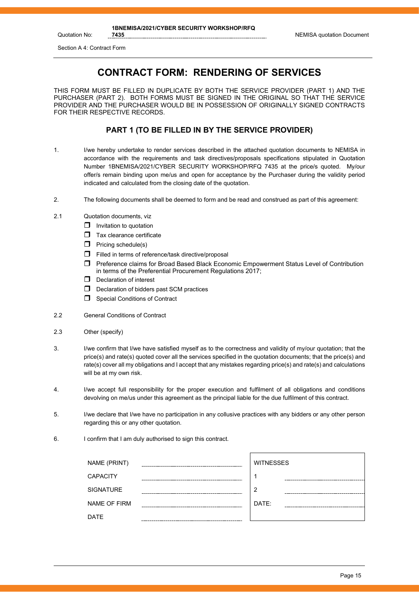Quotation No:

## **CONTRACT FORM: RENDERING OF SERVICES**

THIS FORM MUST BE FILLED IN DUPLICATE BY BOTH THE SERVICE PROVIDER (PART 1) AND THE PURCHASER (PART 2). BOTH FORMS MUST BE SIGNED IN THE ORIGINAL SO THAT THE SERVICE PROVIDER AND THE PURCHASER WOULD BE IN POSSESSION OF ORIGINALLY SIGNED CONTRACTS FOR THEIR RESPECTIVE RECORDS.

#### **PART 1 (TO BE FILLED IN BY THE SERVICE PROVIDER)**

- 1. I/we hereby undertake to render services described in the attached quotation documents to NEMISA in accordance with the requirements and task directives/proposals specifications stipulated in Quotation Number 1BNEMISA/2021/CYBER SECURITY WORKSHOP/RFQ 7435 at the price/s quoted. My/our offer/s remain binding upon me/us and open for acceptance by the Purchaser during the validity period indicated and calculated from the closing date of the quotation.
- 2. The following documents shall be deemed to form and be read and construed as part of this agreement:
- 2.1 Quotation documents, viz
	- $\Box$  Invitation to quotation
	- $\Box$  Tax clearance certificate
	- $\Box$  Pricing schedule(s)
	- $\Box$  Filled in terms of reference/task directive/proposal
	- Preference claims for Broad Based Black Economic Empowerment Status Level of Contribution in terms of the Preferential Procurement Regulations 2017;
	- $\Box$  Declaration of interest
	- D Declaration of bidders past SCM practices
	- Special Conditions of Contract
- 2.2 General Conditions of Contract
- 2.3 Other (specify)
- 3. I/we confirm that I/we have satisfied myself as to the correctness and validity of my/our quotation; that the price(s) and rate(s) quoted cover all the services specified in the quotation documents; that the price(s) and rate(s) cover all my obligations and I accept that any mistakes regarding price(s) and rate(s) and calculations will be at my own risk.
- 4. I/we accept full responsibility for the proper execution and fulfilment of all obligations and conditions devolving on me/us under this agreement as the principal liable for the due fulfilment of this contract.
- 5. I/we declare that I/we have no participation in any collusive practices with any bidders or any other person regarding this or any other quotation.
- 6. I confirm that I am duly authorised to sign this contract.

| NAME (PRINT)     | <b>WITNESSES</b> |
|------------------|------------------|
| <b>CAPACITY</b>  |                  |
| <b>SIGNATURE</b> | າ                |
| NAME OF FIRM     | DATE:            |
| <b>DATE</b>      |                  |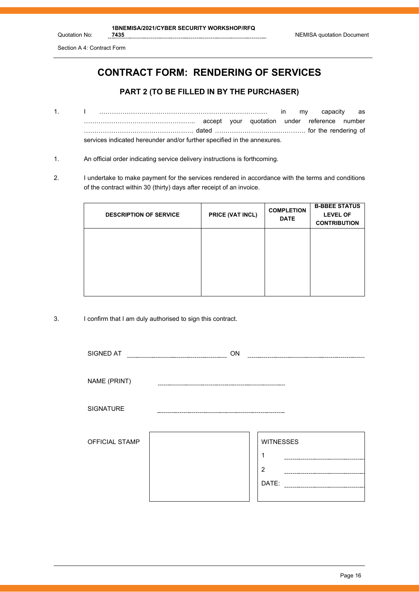Section A 4: Contract Form

# **CONTRACT FORM: RENDERING OF SERVICES**

#### **PART 2 (TO BE FILLED IN BY THE PURCHASER)**

- 1. I ……………………………………………………..……………… in my capacity as …………………………………………….. accept your quotation under reference number ……………………………………………. dated ……………………………………. for the rendering of services indicated hereunder and/or further specified in the annexures.
- 1. An official order indicating service delivery instructions is forthcoming.
- 2. I undertake to make payment for the services rendered in accordance with the terms and conditions of the contract within 30 (thirty) days after receipt of an invoice.

| <b>DESCRIPTION OF SERVICE</b> | PRICE (VAT INCL) | <b>COMPLETION</b><br><b>DATE</b> | <b>B-BBEE STATUS</b><br><b>LEVEL OF</b><br><b>CONTRIBUTION</b> |
|-------------------------------|------------------|----------------------------------|----------------------------------------------------------------|
|                               |                  |                                  |                                                                |
|                               |                  |                                  |                                                                |

3. I confirm that I am duly authorised to sign this contract.

| SIGNED AT        | ON |                                     |
|------------------|----|-------------------------------------|
| NAME (PRINT)     |    |                                     |
| <b>SIGNATURE</b> |    |                                     |
| OFFICIAL STAMP   |    | <b>WITNESSES</b><br>1<br>2<br>DATE: |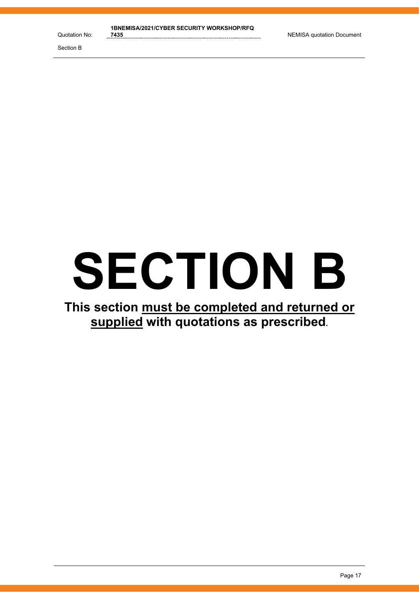# **SECTION B**

# **This section must be completed and returned or supplied with quotations as prescribed.**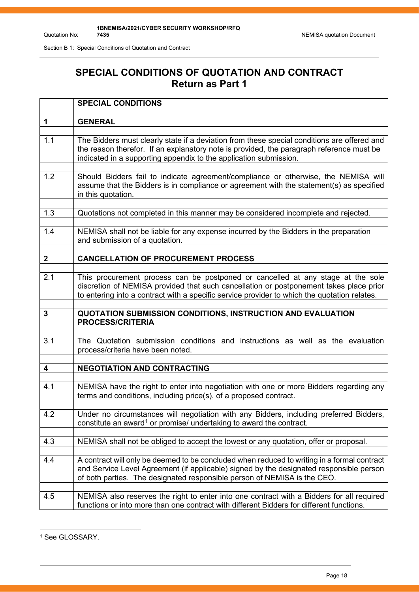# **SPECIAL CONDITIONS OF QUOTATION AND CONTRACT Return as Part 1**

|              | <b>SPECIAL CONDITIONS</b>                                                                                                                                                                                                                                                 |
|--------------|---------------------------------------------------------------------------------------------------------------------------------------------------------------------------------------------------------------------------------------------------------------------------|
|              |                                                                                                                                                                                                                                                                           |
| 1            | <b>GENERAL</b>                                                                                                                                                                                                                                                            |
| 1.1          | The Bidders must clearly state if a deviation from these special conditions are offered and<br>the reason therefor. If an explanatory note is provided, the paragraph reference must be<br>indicated in a supporting appendix to the application submission.              |
| 1.2          | Should Bidders fail to indicate agreement/compliance or otherwise, the NEMISA will<br>assume that the Bidders is in compliance or agreement with the statement(s) as specified<br>in this quotation.                                                                      |
| 1.3          | Quotations not completed in this manner may be considered incomplete and rejected.                                                                                                                                                                                        |
| 1.4          | NEMISA shall not be liable for any expense incurred by the Bidders in the preparation<br>and submission of a quotation.                                                                                                                                                   |
| $\mathbf{2}$ | <b>CANCELLATION OF PROCUREMENT PROCESS</b>                                                                                                                                                                                                                                |
|              |                                                                                                                                                                                                                                                                           |
| 2.1          | This procurement process can be postponed or cancelled at any stage at the sole<br>discretion of NEMISA provided that such cancellation or postponement takes place prior<br>to entering into a contract with a specific service provider to which the quotation relates. |
|              |                                                                                                                                                                                                                                                                           |
| 3            | QUOTATION SUBMISSION CONDITIONS, INSTRUCTION AND EVALUATION<br><b>PROCESS/CRITERIA</b>                                                                                                                                                                                    |
|              |                                                                                                                                                                                                                                                                           |
| 3.1          | The Quotation submission conditions and instructions as well as the evaluation<br>process/criteria have been noted.                                                                                                                                                       |
| 4            | <b>NEGOTIATION AND CONTRACTING</b>                                                                                                                                                                                                                                        |
|              |                                                                                                                                                                                                                                                                           |
| 4.1          | NEMISA have the right to enter into negotiation with one or more Bidders regarding any<br>terms and conditions, including price(s), of a proposed contract.                                                                                                               |
| 4.2          | Under no circumstances will negotiation with any Bidders, including preferred Bidders,<br>constitute an award <sup>1</sup> or promise/ undertaking to award the contract.                                                                                                 |
| 4.3          | NEMISA shall not be obliged to accept the lowest or any quotation, offer or proposal.                                                                                                                                                                                     |
|              |                                                                                                                                                                                                                                                                           |
| 4.4          | A contract will only be deemed to be concluded when reduced to writing in a formal contract<br>and Service Level Agreement (if applicable) signed by the designated responsible person<br>of both parties. The designated responsible person of NEMISA is the CEO.        |
| 4.5          | NEMISA also reserves the right to enter into one contract with a Bidders for all required<br>functions or into more than one contract with different Bidders for different functions.                                                                                     |

<span id="page-14-0"></span><sup>&</sup>lt;sup>1</sup> See GLOSSARY.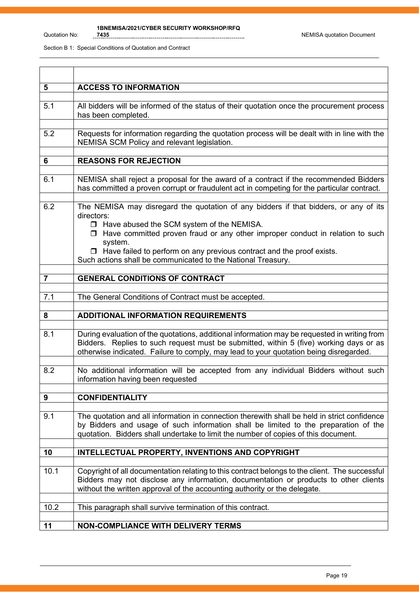| 5              | <b>ACCESS TO INFORMATION</b>                                                                                                                                                                                                                                                                                                                                                                    |
|----------------|-------------------------------------------------------------------------------------------------------------------------------------------------------------------------------------------------------------------------------------------------------------------------------------------------------------------------------------------------------------------------------------------------|
| 5.1            | All bidders will be informed of the status of their quotation once the procurement process<br>has been completed.                                                                                                                                                                                                                                                                               |
| 5.2            | Requests for information regarding the quotation process will be dealt with in line with the<br>NEMISA SCM Policy and relevant legislation.                                                                                                                                                                                                                                                     |
| 6              | <b>REASONS FOR REJECTION</b>                                                                                                                                                                                                                                                                                                                                                                    |
|                |                                                                                                                                                                                                                                                                                                                                                                                                 |
| 6.1            | NEMISA shall reject a proposal for the award of a contract if the recommended Bidders<br>has committed a proven corrupt or fraudulent act in competing for the particular contract.                                                                                                                                                                                                             |
| 6.2            | The NEMISA may disregard the quotation of any bidders if that bidders, or any of its<br>directors:<br>□ Have abused the SCM system of the NEMISA.<br>□ Have committed proven fraud or any other improper conduct in relation to such<br>system.<br>$\Box$ Have failed to perform on any previous contract and the proof exists.<br>Such actions shall be communicated to the National Treasury. |
| $\overline{7}$ | <b>GENERAL CONDITIONS OF CONTRACT</b>                                                                                                                                                                                                                                                                                                                                                           |
|                |                                                                                                                                                                                                                                                                                                                                                                                                 |
| 7.1            | The General Conditions of Contract must be accepted.                                                                                                                                                                                                                                                                                                                                            |
| 8              | <b>ADDITIONAL INFORMATION REQUIREMENTS</b>                                                                                                                                                                                                                                                                                                                                                      |
| 8.1            | During evaluation of the quotations, additional information may be requested in writing from<br>Bidders. Replies to such request must be submitted, within 5 (five) working days or as<br>otherwise indicated. Failure to comply, may lead to your quotation being disregarded.                                                                                                                 |
| 8.2            | No additional information will be accepted from any individual Bidders without such<br>information having been requested                                                                                                                                                                                                                                                                        |
| 9              | <b>CONFIDENTIALITY</b>                                                                                                                                                                                                                                                                                                                                                                          |
|                |                                                                                                                                                                                                                                                                                                                                                                                                 |
| 9.1            | The quotation and all information in connection therewith shall be held in strict confidence<br>by Bidders and usage of such information shall be limited to the preparation of the<br>quotation. Bidders shall undertake to limit the number of copies of this document.                                                                                                                       |
| 10             | INTELLECTUAL PROPERTY, INVENTIONS AND COPYRIGHT                                                                                                                                                                                                                                                                                                                                                 |
|                |                                                                                                                                                                                                                                                                                                                                                                                                 |
| 10.1           | Copyright of all documentation relating to this contract belongs to the client. The successful<br>Bidders may not disclose any information, documentation or products to other clients<br>without the written approval of the accounting authority or the delegate.                                                                                                                             |
| 10.2           | This paragraph shall survive termination of this contract.                                                                                                                                                                                                                                                                                                                                      |
|                |                                                                                                                                                                                                                                                                                                                                                                                                 |
| 11             | <b>NON-COMPLIANCE WITH DELIVERY TERMS</b>                                                                                                                                                                                                                                                                                                                                                       |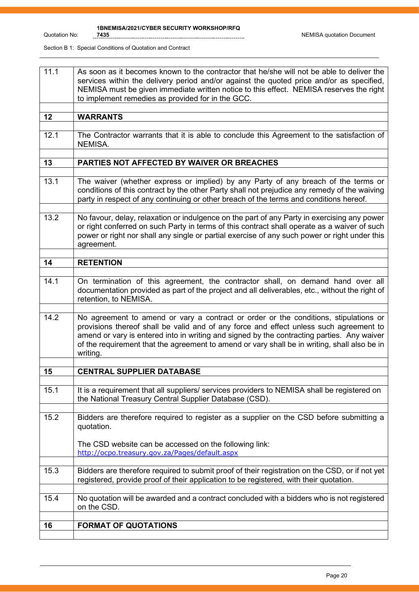| 11.1 | As soon as it becomes known to the contractor that he/she will not be able to deliver the<br>services within the delivery period and/or against the quoted price and/or as specified,<br>NEMISA must be given immediate written notice to this effect. NEMISA reserves the right<br>to implement remedies as provided for in the GCC.                                                    |
|------|------------------------------------------------------------------------------------------------------------------------------------------------------------------------------------------------------------------------------------------------------------------------------------------------------------------------------------------------------------------------------------------|
| 12   | <b>WARRANTS</b>                                                                                                                                                                                                                                                                                                                                                                          |
| 12.1 | The Contractor warrants that it is able to conclude this Agreement to the satisfaction of<br>NEMISA.                                                                                                                                                                                                                                                                                     |
| 13   | PARTIES NOT AFFECTED BY WAIVER OR BREACHES                                                                                                                                                                                                                                                                                                                                               |
|      |                                                                                                                                                                                                                                                                                                                                                                                          |
| 13.1 | The waiver (whether express or implied) by any Party of any breach of the terms or<br>conditions of this contract by the other Party shall not prejudice any remedy of the waiving<br>party in respect of any continuing or other breach of the terms and conditions hereof.                                                                                                             |
| 13.2 | No favour, delay, relaxation or indulgence on the part of any Party in exercising any power<br>or right conferred on such Party in terms of this contract shall operate as a waiver of such<br>power or right nor shall any single or partial exercise of any such power or right under this<br>agreement.                                                                               |
|      |                                                                                                                                                                                                                                                                                                                                                                                          |
| 14   | <b>RETENTION</b>                                                                                                                                                                                                                                                                                                                                                                         |
| 14.1 | On termination of this agreement, the contractor shall, on demand hand over all<br>documentation provided as part of the project and all deliverables, etc., without the right of<br>retention, to NEMISA.                                                                                                                                                                               |
| 14.2 | No agreement to amend or vary a contract or order or the conditions, stipulations or<br>provisions thereof shall be valid and of any force and effect unless such agreement to<br>amend or vary is entered into in writing and signed by the contracting parties. Any waiver<br>of the requirement that the agreement to amend or vary shall be in writing, shall also be in<br>writing. |
| 15   | <b>CENTRAL SUPPLIER DATABASE</b>                                                                                                                                                                                                                                                                                                                                                         |
|      |                                                                                                                                                                                                                                                                                                                                                                                          |
| 15.1 | It is a requirement that all suppliers/ services providers to NEMISA shall be registered on<br>the National Treasury Central Supplier Database (CSD).                                                                                                                                                                                                                                    |
| 15.2 | Bidders are therefore required to register as a supplier on the CSD before submitting a<br>quotation.<br>The CSD website can be accessed on the following link:                                                                                                                                                                                                                          |
|      | http://ocpo.treasury.gov.za/Pages/default.aspx                                                                                                                                                                                                                                                                                                                                           |
| 15.3 | Bidders are therefore required to submit proof of their registration on the CSD, or if not yet<br>registered, provide proof of their application to be registered, with their quotation.                                                                                                                                                                                                 |
| 15.4 | No quotation will be awarded and a contract concluded with a bidders who is not registered<br>on the CSD.                                                                                                                                                                                                                                                                                |
| 16   |                                                                                                                                                                                                                                                                                                                                                                                          |
|      | <b>FORMAT OF QUOTATIONS</b>                                                                                                                                                                                                                                                                                                                                                              |
|      |                                                                                                                                                                                                                                                                                                                                                                                          |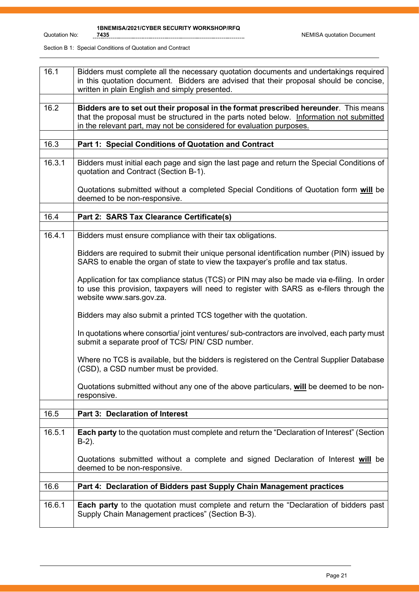| 16.1   | Bidders must complete all the necessary quotation documents and undertakings required<br>in this quotation document. Bidders are advised that their proposal should be concise,<br>written in plain English and simply presented.                        |
|--------|----------------------------------------------------------------------------------------------------------------------------------------------------------------------------------------------------------------------------------------------------------|
| 16.2   | Bidders are to set out their proposal in the format prescribed hereunder. This means<br>that the proposal must be structured in the parts noted below. Information not submitted<br>in the relevant part, may not be considered for evaluation purposes. |
| 16.3   | Part 1: Special Conditions of Quotation and Contract                                                                                                                                                                                                     |
| 16.3.1 | Bidders must initial each page and sign the last page and return the Special Conditions of<br>quotation and Contract (Section B-1).                                                                                                                      |
|        | Quotations submitted without a completed Special Conditions of Quotation form will be<br>deemed to be non-responsive.                                                                                                                                    |
| 16.4   | Part 2: SARS Tax Clearance Certificate(s)                                                                                                                                                                                                                |
| 16.4.1 | Bidders must ensure compliance with their tax obligations.                                                                                                                                                                                               |
|        |                                                                                                                                                                                                                                                          |
|        | Bidders are required to submit their unique personal identification number (PIN) issued by<br>SARS to enable the organ of state to view the taxpayer's profile and tax status.                                                                           |
|        | Application for tax compliance status (TCS) or PIN may also be made via e-filing. In order<br>to use this provision, taxpayers will need to register with SARS as e-filers through the<br>website www.sars.gov.za.                                       |
|        | Bidders may also submit a printed TCS together with the quotation.                                                                                                                                                                                       |
|        | In quotations where consortia/joint ventures/sub-contractors are involved, each party must<br>submit a separate proof of TCS/ PIN/ CSD number.                                                                                                           |
|        | Where no TCS is available, but the bidders is registered on the Central Supplier Database<br>(CSD), a CSD number must be provided.                                                                                                                       |
|        | Quotations submitted without any one of the above particulars, will be deemed to be non-<br>responsive.                                                                                                                                                  |
| 16.5   | Part 3: Declaration of Interest                                                                                                                                                                                                                          |
|        |                                                                                                                                                                                                                                                          |
| 16.5.1 | Each party to the quotation must complete and return the "Declaration of Interest" (Section<br>$B-2$ ).                                                                                                                                                  |
|        | Quotations submitted without a complete and signed Declaration of Interest will be<br>deemed to be non-responsive.                                                                                                                                       |
| 16.6   | Part 4: Declaration of Bidders past Supply Chain Management practices                                                                                                                                                                                    |
| 16.6.1 | Each party to the quotation must complete and return the "Declaration of bidders past                                                                                                                                                                    |
|        | Supply Chain Management practices" (Section B-3).                                                                                                                                                                                                        |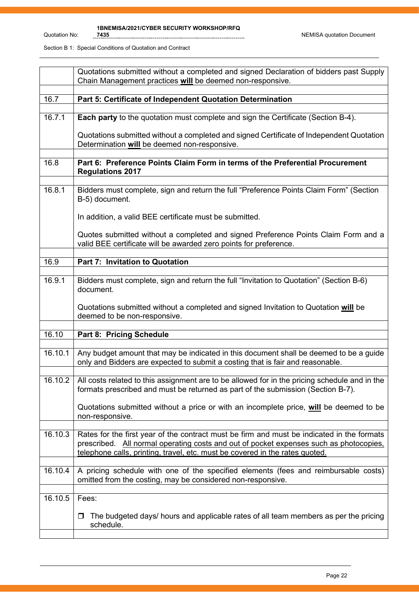|         | Quotations submitted without a completed and signed Declaration of bidders past Supply<br>Chain Management practices will be deemed non-responsive.                                                                                                                  |
|---------|----------------------------------------------------------------------------------------------------------------------------------------------------------------------------------------------------------------------------------------------------------------------|
|         |                                                                                                                                                                                                                                                                      |
| 16.7    | Part 5: Certificate of Independent Quotation Determination                                                                                                                                                                                                           |
| 16.7.1  | Each party to the quotation must complete and sign the Certificate (Section B-4).                                                                                                                                                                                    |
|         | Quotations submitted without a completed and signed Certificate of Independent Quotation<br>Determination will be deemed non-responsive.                                                                                                                             |
| 16.8    | Part 6: Preference Points Claim Form in terms of the Preferential Procurement<br><b>Regulations 2017</b>                                                                                                                                                             |
|         |                                                                                                                                                                                                                                                                      |
| 16.8.1  | Bidders must complete, sign and return the full "Preference Points Claim Form" (Section<br>B-5) document.                                                                                                                                                            |
|         | In addition, a valid BEE certificate must be submitted.                                                                                                                                                                                                              |
|         | Quotes submitted without a completed and signed Preference Points Claim Form and a<br>valid BEE certificate will be awarded zero points for preference.                                                                                                              |
|         |                                                                                                                                                                                                                                                                      |
| 16.9    | Part 7: Invitation to Quotation                                                                                                                                                                                                                                      |
| 16.9.1  | Bidders must complete, sign and return the full "Invitation to Quotation" (Section B-6)<br>document.                                                                                                                                                                 |
|         | Quotations submitted without a completed and signed Invitation to Quotation will be<br>deemed to be non-responsive.                                                                                                                                                  |
|         |                                                                                                                                                                                                                                                                      |
| 16.10   | Part 8: Pricing Schedule                                                                                                                                                                                                                                             |
| 16.10.1 | Any budget amount that may be indicated in this document shall be deemed to be a guide<br>only and Bidders are expected to submit a costing that is fair and reasonable.                                                                                             |
| 16.10.2 | All costs related to this assignment are to be allowed for in the pricing schedule and in the<br>formats prescribed and must be returned as part of the submission (Section B-7).                                                                                    |
|         | Quotations submitted without a price or with an incomplete price, will be deemed to be<br>non-responsive.                                                                                                                                                            |
| 16.10.3 | Rates for the first year of the contract must be firm and must be indicated in the formats<br>prescribed. All normal operating costs and out of pocket expenses such as photocopies,<br>telephone calls, printing, travel, etc. must be covered in the rates quoted. |
| 16.10.4 | A pricing schedule with one of the specified elements (fees and reimbursable costs)<br>omitted from the costing, may be considered non-responsive.                                                                                                                   |
| 16.10.5 | Fees:                                                                                                                                                                                                                                                                |
|         |                                                                                                                                                                                                                                                                      |
|         | The budgeted days/ hours and applicable rates of all team members as per the pricing<br>□<br>schedule.                                                                                                                                                               |
|         |                                                                                                                                                                                                                                                                      |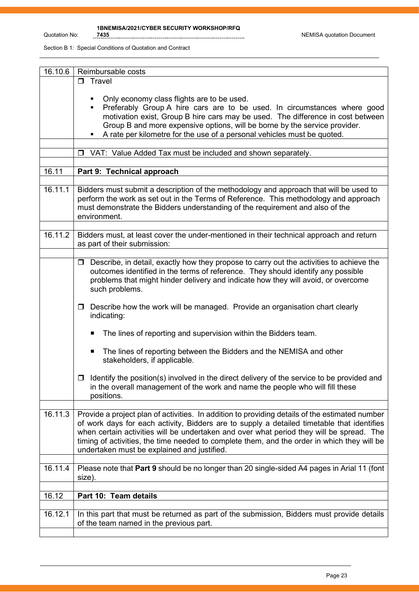| 16.10.6 | Reimbursable costs                                                                                                                                                                                                                                                                                                                                                                                                                     |
|---------|----------------------------------------------------------------------------------------------------------------------------------------------------------------------------------------------------------------------------------------------------------------------------------------------------------------------------------------------------------------------------------------------------------------------------------------|
|         | $\Box$ Travel                                                                                                                                                                                                                                                                                                                                                                                                                          |
|         | Only economy class flights are to be used.<br>Preferably Group A hire cars are to be used. In circumstances where good<br>$\blacksquare$<br>motivation exist, Group B hire cars may be used. The difference in cost between<br>Group B and more expensive options, will be borne by the service provider.<br>A rate per kilometre for the use of a personal vehicles must be quoted.                                                   |
|         | VAT: Value Added Tax must be included and shown separately.<br>$\Box$                                                                                                                                                                                                                                                                                                                                                                  |
|         |                                                                                                                                                                                                                                                                                                                                                                                                                                        |
| 16.11   | Part 9: Technical approach                                                                                                                                                                                                                                                                                                                                                                                                             |
|         |                                                                                                                                                                                                                                                                                                                                                                                                                                        |
| 16.11.1 | Bidders must submit a description of the methodology and approach that will be used to<br>perform the work as set out in the Terms of Reference. This methodology and approach<br>must demonstrate the Bidders understanding of the requirement and also of the<br>environment.                                                                                                                                                        |
| 16.11.2 | Bidders must, at least cover the under-mentioned in their technical approach and return<br>as part of their submission:                                                                                                                                                                                                                                                                                                                |
|         |                                                                                                                                                                                                                                                                                                                                                                                                                                        |
|         | Describe, in detail, exactly how they propose to carry out the activities to achieve the<br>$\Box$<br>outcomes identified in the terms of reference. They should identify any possible<br>problems that might hinder delivery and indicate how they will avoid, or overcome<br>such problems.                                                                                                                                          |
|         | Describe how the work will be managed. Provide an organisation chart clearly<br>$\Box$<br>indicating:                                                                                                                                                                                                                                                                                                                                  |
|         | The lines of reporting and supervision within the Bidders team.                                                                                                                                                                                                                                                                                                                                                                        |
|         | The lines of reporting between the Bidders and the NEMISA and other<br>п<br>stakeholders, if applicable.                                                                                                                                                                                                                                                                                                                               |
|         | Identify the position(s) involved in the direct delivery of the service to be provided and<br>0<br>in the overall management of the work and name the people who will fill these<br>positions.                                                                                                                                                                                                                                         |
| 16.11.3 | Provide a project plan of activities. In addition to providing details of the estimated number<br>of work days for each activity, Bidders are to supply a detailed timetable that identifies<br>when certain activities will be undertaken and over what period they will be spread. The<br>timing of activities, the time needed to complete them, and the order in which they will be<br>undertaken must be explained and justified. |
| 16.11.4 | Please note that Part 9 should be no longer than 20 single-sided A4 pages in Arial 11 (font                                                                                                                                                                                                                                                                                                                                            |
|         | size).                                                                                                                                                                                                                                                                                                                                                                                                                                 |
| 16.12   | Part 10: Team details                                                                                                                                                                                                                                                                                                                                                                                                                  |
|         |                                                                                                                                                                                                                                                                                                                                                                                                                                        |
| 16.12.1 | In this part that must be returned as part of the submission, Bidders must provide details<br>of the team named in the previous part.                                                                                                                                                                                                                                                                                                  |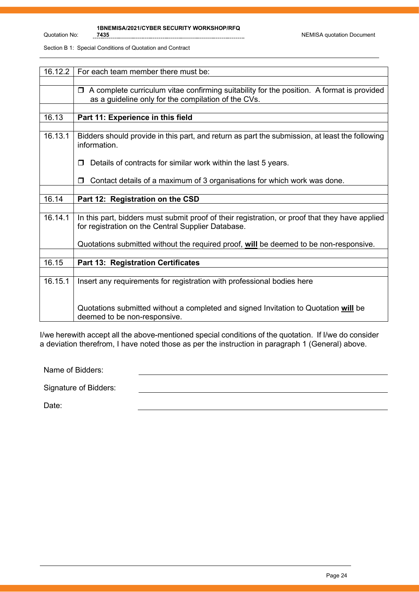| 16.12.2 | For each team member there must be:                                                                                                                  |
|---------|------------------------------------------------------------------------------------------------------------------------------------------------------|
|         |                                                                                                                                                      |
|         | A complete curriculum vitae confirming suitability for the position. A format is provided<br>$\Box$                                                  |
|         | as a guideline only for the compilation of the CVs.                                                                                                  |
|         |                                                                                                                                                      |
| 16.13   | Part 11: Experience in this field                                                                                                                    |
|         |                                                                                                                                                      |
| 16.13.1 | Bidders should provide in this part, and return as part the submission, at least the following<br>information.                                       |
|         | Details of contracts for similar work within the last 5 years.<br>П                                                                                  |
|         | Contact details of a maximum of 3 organisations for which work was done.<br>П                                                                        |
|         |                                                                                                                                                      |
| 16.14   | Part 12: Registration on the CSD                                                                                                                     |
|         |                                                                                                                                                      |
| 16.14.1 | In this part, bidders must submit proof of their registration, or proof that they have applied<br>for registration on the Central Supplier Database. |
|         | Quotations submitted without the required proof, will be deemed to be non-responsive.                                                                |
|         |                                                                                                                                                      |
| 16.15   | <b>Part 13: Registration Certificates</b>                                                                                                            |
|         |                                                                                                                                                      |
| 16.15.1 | Insert any requirements for registration with professional bodies here                                                                               |
|         | Quotations submitted without a completed and signed Invitation to Quotation will be<br>deemed to be non-responsive.                                  |

I/we herewith accept all the above-mentioned special conditions of the quotation. If I/we do consider a deviation therefrom, I have noted those as per the instruction in paragraph 1 (General) above.

Name of Bidders:

Signature of Bidders:

Date: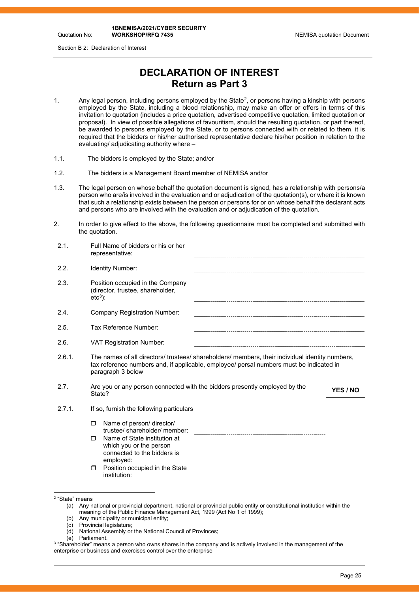Quotation No:

Section B 2: Declaration of Interest

# **DECLARATION OF INTEREST Return as Part 3**

- 1. Any legal person, including persons employed by the State<sup>[2](#page-21-0)</sup>, or persons having a kinship with persons employed by the State, including a blood relationship, may make an offer or offers in terms of this invitation to quotation (includes a price quotation, advertised competitive quotation, limited quotation or proposal). In view of possible allegations of favouritism, should the resulting quotation, or part thereof, be awarded to persons employed by the State, or to persons connected with or related to them, it is required that the bidders or his/her authorised representative declare his/her position in relation to the evaluating/ adjudicating authority where –
- 1.1. The bidders is employed by the State; and/or
- 1.2. The bidders is a Management Board member of NEMISA and/or
- 1.3. The legal person on whose behalf the quotation document is signed, has a relationship with persons/a person who are/is involved in the evaluation and or adjudication of the quotation(s), or where it is known that such a relationship exists between the person or persons for or on whose behalf the declarant acts and persons who are involved with the evaluation and or adjudication of the quotation.
- 2. In order to give effect to the above, the following questionnaire must be completed and submitted with the quotation.

| 2.1.   | Full Name of bidders or his or her<br>representative:                                                                                                                                                           |
|--------|-----------------------------------------------------------------------------------------------------------------------------------------------------------------------------------------------------------------|
| 2.2.   | Identity Number:                                                                                                                                                                                                |
| 2.3.   | Position occupied in the Company<br>(director, trustee, shareholder,<br>$etc3$ :                                                                                                                                |
| 2.4.   | <b>Company Registration Number:</b>                                                                                                                                                                             |
| 2.5.   | Tax Reference Number:                                                                                                                                                                                           |
| 2.6.   | <b>VAT Registration Number:</b>                                                                                                                                                                                 |
| 2.6.1. | The names of all directors/ trustees/ shareholders/ members, their individual identity numbers,<br>tax reference numbers and, if applicable, employee/ persal numbers must be indicated in<br>paragraph 3 below |
| 2.7.   | Are you or any person connected with the bidders presently employed by the<br>YES / NO<br>State?                                                                                                                |
| 2.7.1. | If so, furnish the following particulars                                                                                                                                                                        |
|        | Name of person/ director/<br>$\Box$<br>trustee/shareholder/member:                                                                                                                                              |
|        | Name of State institution at<br>$\Box$<br>which you or the person<br>connected to the bidders is<br>employed:                                                                                                   |
|        | Position occupied in the State<br>$\Box$<br>institution:                                                                                                                                                        |

- (b) Any municipality or municipal entity;
- (c) Provincial legislature;
- (d) National Assembly or the National Council of Provinces;
- (e) Parliament.

<span id="page-21-0"></span><sup>2</sup> "State" means

<sup>(</sup>a) Any national or provincial department, national or provincial public entity or constitutional institution within the meaning of the Public Finance Management Act, 1999 (Act No 1 of 1999);

<span id="page-21-1"></span><sup>&</sup>lt;sup>3</sup> "Shareholder" means a person who owns shares in the company and is actively involved in the management of the enterprise or business and exercises control over the enterprise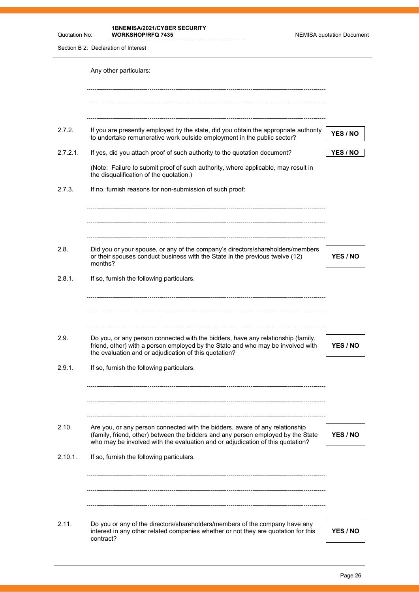**1BNEMISA/2021/CYBER SECURITY** 

**WORKSHOP/RFQ 7435** NEMISA quotation Document

Section B 2: Declaration of Interest

Quotation No:

|          | Any other particulars:                                                                                                                                                                                                                             |          |
|----------|----------------------------------------------------------------------------------------------------------------------------------------------------------------------------------------------------------------------------------------------------|----------|
|          |                                                                                                                                                                                                                                                    |          |
| 2.7.2.   | If you are presently employed by the state, did you obtain the appropriate authority<br>to undertake remunerative work outside employment in the public sector?                                                                                    | YES / NO |
| 2.7.2.1. | If yes, did you attach proof of such authority to the quotation document?                                                                                                                                                                          | YES / NO |
|          | (Note: Failure to submit proof of such authority, where applicable, may result in<br>the disqualification of the quotation.)                                                                                                                       |          |
| 2.7.3.   | If no, furnish reasons for non-submission of such proof:                                                                                                                                                                                           |          |
|          |                                                                                                                                                                                                                                                    |          |
| 2.8.     | Did you or your spouse, or any of the company's directors/shareholders/members<br>or their spouses conduct business with the State in the previous twelve (12)<br>months?                                                                          | YES / NO |
| 2.8.1.   | If so, furnish the following particulars.                                                                                                                                                                                                          |          |
| 2.9.     | Do you, or any person connected with the bidders, have any relationship (family,                                                                                                                                                                   |          |
|          | friend, other) with a person employed by the State and who may be involved with<br>the evaluation and or adjudication of this quotation?                                                                                                           | YES / NO |
| 2.9.1.   | If so, furnish the following particulars.                                                                                                                                                                                                          |          |
| 2.10.    | Are you, or any person connected with the bidders, aware of any relationship<br>(family, friend, other) between the bidders and any person employed by the State<br>who may be involved with the evaluation and or adjudication of this quotation? | YES / NO |
| 2.10.1.  | If so, furnish the following particulars.                                                                                                                                                                                                          |          |
|          |                                                                                                                                                                                                                                                    |          |
| 2.11.    | Do you or any of the directors/shareholders/members of the company have any<br>interest in any other related companies whether or not they are quotation for this<br>contract?                                                                     | YES / NO |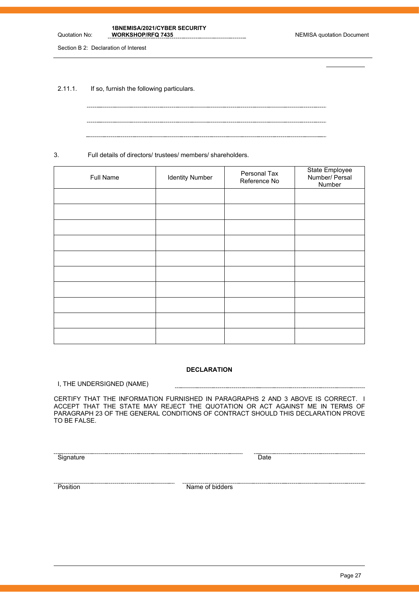**1BNEMISA/2021/CYBER SECURITY** 

Section B 2: Declaration of Interest

Quotation No:

2.11.1. If so, furnish the following particulars.

3. Full details of directors/ trustees/ members/ shareholders.

| Full Name | <b>Identity Number</b> | Personal Tax<br>Reference No | State Employee<br>Number/ Persal<br>Number |
|-----------|------------------------|------------------------------|--------------------------------------------|
|           |                        |                              |                                            |
|           |                        |                              |                                            |
|           |                        |                              |                                            |
|           |                        |                              |                                            |
|           |                        |                              |                                            |
|           |                        |                              |                                            |
|           |                        |                              |                                            |
|           |                        |                              |                                            |
|           |                        |                              |                                            |
|           |                        |                              |                                            |

#### **DECLARATION**

I, THE UNDERSIGNED (NAME)

CERTIFY THAT THE INFORMATION FURNISHED IN PARAGRAPHS 2 AND 3 ABOVE IS CORRECT. I ACCEPT THAT THE STATE MAY REJECT THE QUOTATION OR ACT AGAINST ME IN TERMS OF PARAGRAPH 23 OF THE GENERAL CONDITIONS OF CONTRACT SHOULD THIS DECLARATION PROVE TO BE FALSE.

Signature Date

Position Name of bidders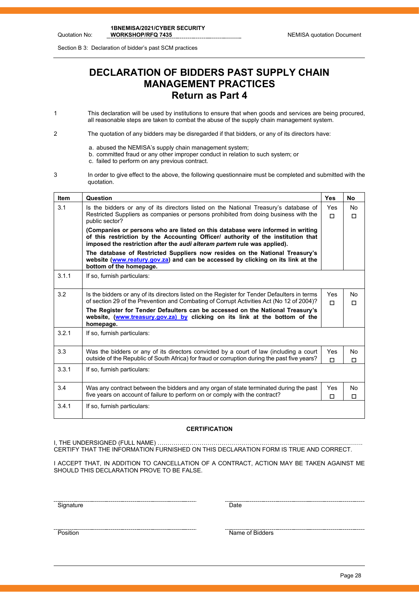Section B 3: Declaration of bidder's past SCM practices

Quotation No:

# **DECLARATION OF BIDDERS PAST SUPPLY CHAIN MANAGEMENT PRACTICES Return as Part 4**

- 1 This declaration will be used by institutions to ensure that when goods and services are being procured, all reasonable steps are taken to combat the abuse of the supply chain management system.
- 2 The quotation of any bidders may be disregarded if that bidders, or any of its directors have:
	- a. abused the NEMISA's supply chain management system;
	- b. committed fraud or any other improper conduct in relation to such system; or
	- c. failed to perform on any previous contract.
- 3 In order to give effect to the above, the following questionnaire must be completed and submitted with the quotation.

| <b>Item</b> | Question                                                                                                                                                                                                                                       | <b>Yes</b>      | <b>No</b>     |
|-------------|------------------------------------------------------------------------------------------------------------------------------------------------------------------------------------------------------------------------------------------------|-----------------|---------------|
| 3.1         | Is the bidders or any of its directors listed on the National Treasury's database of<br>Restricted Suppliers as companies or persons prohibited from doing business with the<br>public sector?                                                 | <b>Yes</b><br>п | No<br>$\Box$  |
|             | (Companies or persons who are listed on this database were informed in writing<br>of this restriction by the Accounting Officer/ authority of the institution that<br>imposed the restriction after the audi alteram partem rule was applied). |                 |               |
|             | The database of Restricted Suppliers now resides on the National Treasury's<br>website (www.reatury.gov.za) and can be accessed by clicking on its link at the<br>bottom of the homepage.                                                      |                 |               |
| 3.1.1       | If so, furnish particulars:                                                                                                                                                                                                                    |                 |               |
| 3.2         | Is the bidders or any of its directors listed on the Register for Tender Defaulters in terms<br>of section 29 of the Prevention and Combating of Corrupt Activities Act (No 12 of 2004)?                                                       | <b>Yes</b><br>п | No.<br>$\Box$ |
|             | The Register for Tender Defaulters can be accessed on the National Treasury's<br>website, (www.treasury.gov.za) by clicking on its link at the bottom of the<br>homepage.                                                                      |                 |               |
| 3.2.1       | If so, furnish particulars:                                                                                                                                                                                                                    |                 |               |
| 3.3         | Was the bidders or any of its directors convicted by a court of law (including a court<br>outside of the Republic of South Africa) for fraud or corruption during the past five years?                                                         | Yes<br>П        | No<br>$\Box$  |
| 3.3.1       | If so, furnish particulars:                                                                                                                                                                                                                    |                 |               |
| 3.4         | Was any contract between the bidders and any organ of state terminated during the past<br>five years on account of failure to perform on or comply with the contract?                                                                          | Yes<br>п        | No<br>п       |
| 3.4.1       | If so, furnish particulars:                                                                                                                                                                                                                    |                 |               |

#### **CERTIFICATION**

I, THE UNDERSIGNED (FULL NAME) …………………………………………………………………………………………. CERTIFY THAT THE INFORMATION FURNISHED ON THIS DECLARATION FORM IS TRUE AND CORRECT.

I ACCEPT THAT, IN ADDITION TO CANCELLATION OF A CONTRACT, ACTION MAY BE TAKEN AGAINST ME SHOULD THIS DECLARATION PROVE TO BE FALSE.

<u>Signature</u> Date **Date** 

Position Name of Bidders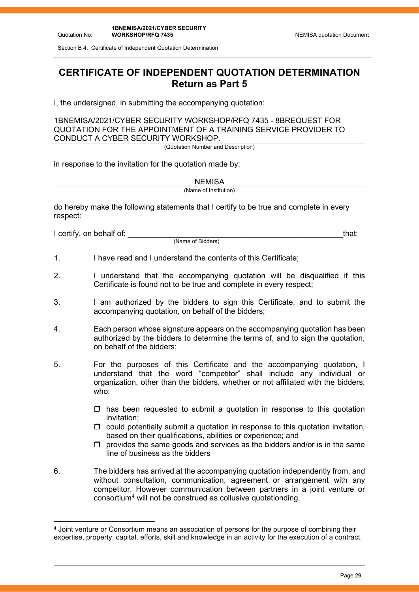Section B 4: Certificate of Independent Quotation Determination

# **CERTIFICATE OF INDEPENDENT QUOTATION DETERMINATION Return as Part 5**

I, the undersigned, in submitting the accompanying quotation:

1BNEMISA/2021/CYBER SECURITY WORKSHOP/RFQ 7435 - 8BREQUEST FOR QUOTATION FOR THE APPOINTMENT OF A TRAINING SERVICE PROVIDER TO CONDUCT A CYBER SECURITY WORKSHOP.

(Quotation Number and Description)

in response to the invitation for the quotation made by:

**NEMISA** 

(Name of Institution)

do hereby make the following statements that I certify to be true and complete in every respect:

I certify, on behalf of: that: that: that: that: that: that: that: that: that: that: that: that: that: that: that: that: that: that: that: that: that: that: that: that: that: that: that: that: that: that: that: that: that:

(Name of Bidders)

- 1. I have read and I understand the contents of this Certificate;
- 2. I understand that the accompanying quotation will be disqualified if this Certificate is found not to be true and complete in every respect;
- 3. I am authorized by the bidders to sign this Certificate, and to submit the accompanying quotation, on behalf of the bidders;
- 4. Each person whose signature appears on the accompanying quotation has been authorized by the bidders to determine the terms of, and to sign the quotation, on behalf of the bidders;
- 5. For the purposes of this Certificate and the accompanying quotation, I understand that the word "competitor" shall include any individual or organization, other than the bidders, whether or not affiliated with the bidders, who:
	- $\Box$  has been requested to submit a quotation in response to this quotation invitation;
	- $\Box$  could potentially submit a quotation in response to this quotation invitation, based on their qualifications, abilities or experience; and
	- $\Box$  provides the same goods and services as the bidders and/or is in the same line of business as the bidders
- 6. The bidders has arrived at the accompanying quotation independently from, and without consultation, communication, agreement or arrangement with any competitor. However communication between partners in a joint venture or consortium[4](#page-25-0) will not be construed as collusive quotationding.

<span id="page-25-0"></span><sup>4</sup> Joint venture or Consortium means an association of persons for the purpose of combining their expertise, property, capital, efforts, skill and knowledge in an activity for the execution of a contract.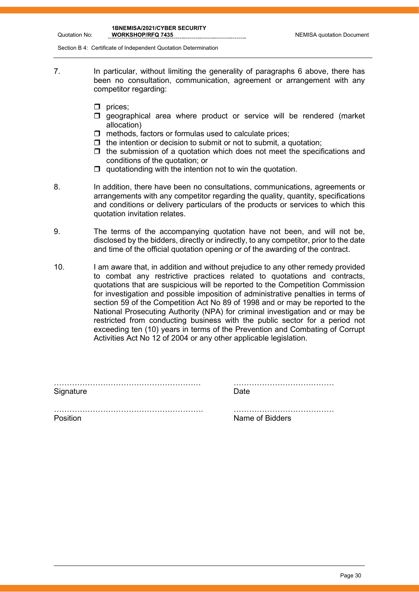Quotation No:

**1BNEMISA/2021/CYBER SECURITY** 

Section B 4: Certificate of Independent Quotation Determination

- 7. In particular, without limiting the generality of paragraphs 6 above, there has been no consultation, communication, agreement or arrangement with any competitor regarding:
	- $\Box$  prices;
	- $\square$  geographical area where product or service will be rendered (market allocation)
	- $\Box$  methods, factors or formulas used to calculate prices;
	- $\Box$  the intention or decision to submit or not to submit, a quotation;
	- $\Box$  the submission of a quotation which does not meet the specifications and conditions of the quotation; or
	- $\Box$  quotationding with the intention not to win the quotation.
- 8. In addition, there have been no consultations, communications, agreements or arrangements with any competitor regarding the quality, quantity, specifications and conditions or delivery particulars of the products or services to which this quotation invitation relates.
- 9. The terms of the accompanying quotation have not been, and will not be, disclosed by the bidders, directly or indirectly, to any competitor, prior to the date and time of the official quotation opening or of the awarding of the contract.
- 10. I am aware that, in addition and without prejudice to any other remedy provided to combat any restrictive practices related to quotations and contracts, quotations that are suspicious will be reported to the Competition Commission for investigation and possible imposition of administrative penalties in terms of section 59 of the Competition Act No 89 of 1998 and or may be reported to the National Prosecuting Authority (NPA) for criminal investigation and or may be restricted from conducting business with the public sector for a period not exceeding ten (10) years in terms of the Prevention and Combating of Corrupt Activities Act No 12 of 2004 or any other applicable legislation.

| Signature | Date            |
|-----------|-----------------|
|           |                 |
| Position  | Name of Bidders |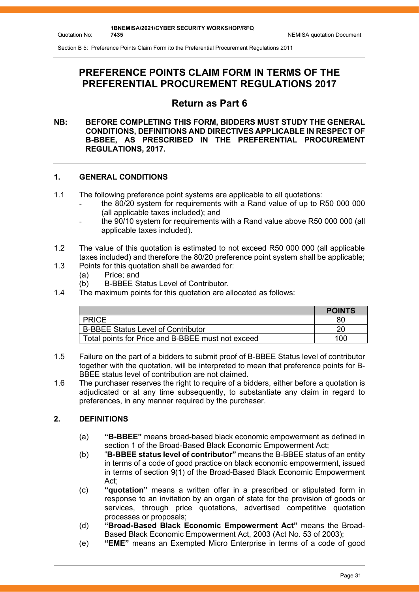# **PREFERENCE POINTS CLAIM FORM IN TERMS OF THE PREFERENTIAL PROCUREMENT REGULATIONS 2017**

## **Return as Part 6**

#### **NB: BEFORE COMPLETING THIS FORM, BIDDERS MUST STUDY THE GENERAL CONDITIONS, DEFINITIONS AND DIRECTIVES APPLICABLE IN RESPECT OF B-BBEE, AS PRESCRIBED IN THE PREFERENTIAL PROCUREMENT REGULATIONS, 2017.**

#### **1. GENERAL CONDITIONS**

- 1.1 The following preference point systems are applicable to all quotations:
	- the 80/20 system for requirements with a Rand value of up to R50 000 000 (all applicable taxes included); and
	- the 90/10 system for requirements with a Rand value above R50 000 000 (all applicable taxes included).
- 1.2 The value of this quotation is estimated to not exceed R50 000 000 (all applicable taxes included) and therefore the 80/20 preference point system shall be applicable;
- 1.3 Points for this quotation shall be awarded for:<br>(a) Price: and
	- (a) Price; and<br>(b) B-BBEE S
	- **B-BBEE Status Level of Contributor.**
- 1.4 The maximum points for this quotation are allocated as follows:

|                                                   | <b>POINTS</b> |
|---------------------------------------------------|---------------|
| <b>PRICE</b>                                      | 80            |
| <b>B-BBEE Status Level of Contributor</b>         |               |
| Total points for Price and B-BBEE must not exceed | 100           |

- 1.5 Failure on the part of a bidders to submit proof of B-BBEE Status level of contributor together with the quotation, will be interpreted to mean that preference points for B-BBEE status level of contribution are not claimed.
- 1.6 The purchaser reserves the right to require of a bidders, either before a quotation is adjudicated or at any time subsequently, to substantiate any claim in regard to preferences, in any manner required by the purchaser.

#### **2. DEFINITIONS**

- (a) **"B-BBEE"** means broad-based black economic empowerment as defined in section 1 of the Broad-Based Black Economic Empowerment Act;
- (b) "**B-BBEE status level of contributor"** means the B-BBEE status of an entity in terms of a code of good practice on black economic empowerment, issued in terms of section 9(1) of the Broad-Based Black Economic Empowerment Act;
- (c) **"quotation"** means a written offer in a prescribed or stipulated form in response to an invitation by an organ of state for the provision of goods or services, through price quotations, advertised competitive quotation processes or proposals;
- (d) **"Broad-Based Black Economic Empowerment Act"** means the Broad-Based Black Economic Empowerment Act, 2003 (Act No. 53 of 2003);
- (e) **"EME"** means an Exempted Micro Enterprise in terms of a code of good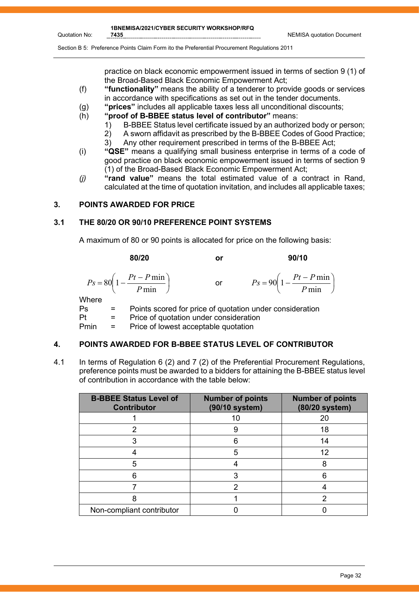**1BNEMISA/2021/CYBER SECURITY WORKSHOP/RFQ** 

practice on black economic empowerment issued in terms of section 9 (1) of the Broad-Based Black Economic Empowerment Act;

- (f) **"functionality"** means the ability of a tenderer to provide goods or services in accordance with specifications as set out in the tender documents.
- (g) **"prices"** includes all applicable taxes less all unconditional discounts;
- (h) **"proof of B-BBEE status level of contributor"** means:
	- 1) B-BBEE Status level certificate issued by an authorized body or person;
	- 2) A sworn affidavit as prescribed by the B-BBEE Codes of Good Practice;
	- 3) Any other requirement prescribed in terms of the B-BBEE Act;
- (i) **"QSE"** means a qualifying small business enterprise in terms of a code of good practice on black economic empowerment issued in terms of section 9 (1) of the Broad-Based Black Economic Empowerment Act;
- *(j)* **"rand value"** means the total estimated value of a contract in Rand, calculated at the time of quotation invitation, and includes all applicable taxes;

#### **3. POINTS AWARDED FOR PRICE**

#### **3.1 THE 80/20 OR 90/10 PREFERENCE POINT SYSTEMS**

A maximum of 80 or 90 points is allocated for price on the following basis:

$$
P_S = 80 \left( 1 - \frac{Pt - P \min}{P \min} \right) \qquad \text{or} \qquad P_S = 90 \left( 1 - \frac{Pt - P \min}{P \min} \right)
$$

$$
Ps = 90 \left( 1 - \frac{Pt - P \min}{P \min} \right)
$$

*P*

 $\bigg)$ 

**Where** 

Quotation No:

Ps = Points scored for price of quotation under consideration

Pt = Price of quotation under consideration<br>Pmin = Price of lowest acceptable quotation

Pmin = Price of lowest acceptable quotation

#### **4. POINTS AWARDED FOR B-BBEE STATUS LEVEL OF CONTRIBUTOR**

4.1 In terms of Regulation 6 (2) and 7 (2) of the Preferential Procurement Regulations, preference points must be awarded to a bidders for attaining the B-BBEE status level of contribution in accordance with the table below:

| <b>B-BBEE Status Level of</b><br><b>Contributor</b> | <b>Number of points</b><br>(90/10 system) | <b>Number of points</b><br>(80/20 system) |
|-----------------------------------------------------|-------------------------------------------|-------------------------------------------|
|                                                     | 10                                        | 20                                        |
| 2                                                   | 9                                         | 18                                        |
|                                                     | 6                                         | 14                                        |
|                                                     | 5                                         | 12                                        |
| 5                                                   |                                           |                                           |
|                                                     |                                           |                                           |
|                                                     |                                           |                                           |
|                                                     |                                           |                                           |
| Non-compliant contributor                           |                                           |                                           |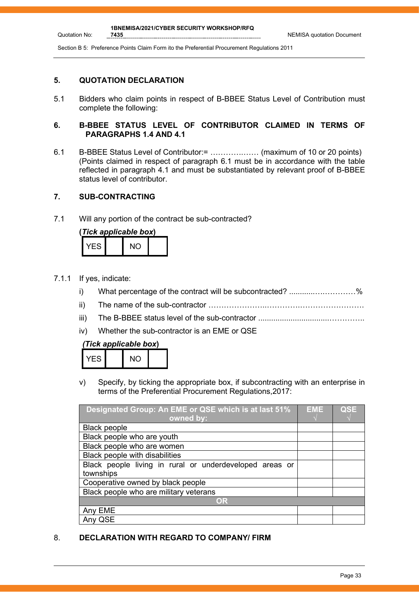#### **5. QUOTATION DECLARATION**

Quotation No:

5.1 Bidders who claim points in respect of B-BBEE Status Level of Contribution must complete the following:

#### **6. B-BBEE STATUS LEVEL OF CONTRIBUTOR CLAIMED IN TERMS OF PARAGRAPHS 1.4 AND 4.1**

6.1 B-BBEE Status Level of Contributor:= ………….…… (maximum of 10 or 20 points) (Points claimed in respect of paragraph 6.1 must be in accordance with the table reflected in paragraph 4.1 and must be substantiated by relevant proof of B-BBEE status level of contributor.

#### **7. SUB-CONTRACTING**

7.1 Will any portion of the contract be sub-contracted?

| (Tick applicable box) |  |     |  |  |
|-----------------------|--|-----|--|--|
| YFS.                  |  | NO. |  |  |

- 7.1.1 If yes, indicate:
	- i) What percentage of the contract will be subcontracted? ............….…………%
	- ii) The name of the sub-contractor …………………..………….…………………….
	- iii) The B-BBEE status level of the sub-contractor .................................…………..
	- iv) Whether the sub-contractor is an EME or QSE

#### *(Tick applicable box***)**

| FS. | <b>NO</b> |  |
|-----|-----------|--|
|     |           |  |

v) Specify, by ticking the appropriate box, if subcontracting with an enterprise in terms of the Preferential Procurement Regulations,2017:

| Designated Group: An EME or QSE which is at last 51%    | <b>EME</b> | <b>QSE</b> |
|---------------------------------------------------------|------------|------------|
| owned by:                                               |            |            |
| <b>Black people</b>                                     |            |            |
| Black people who are youth                              |            |            |
| Black people who are women                              |            |            |
| Black people with disabilities                          |            |            |
| Black people living in rural or underdeveloped areas or |            |            |
| townships                                               |            |            |
| Cooperative owned by black people                       |            |            |
| Black people who are military veterans                  |            |            |
| OR                                                      |            |            |
| Any EME                                                 |            |            |
| Any QSE                                                 |            |            |

#### 8. **DECLARATION WITH REGARD TO COMPANY/ FIRM**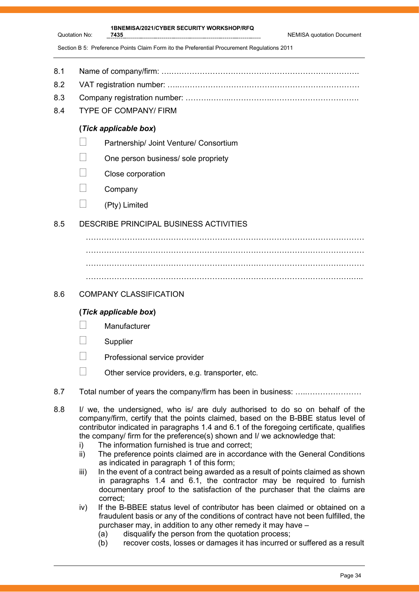| 7435 | <b>NEMISA quotation Document</b> |
|------|----------------------------------|
|      |                                  |

**1BNEMISA/2021/CYBER SECURITY WORKSHOP/RFQ** 

- 8.1 Name of company/firm: ….……………………………………………………………….
- 8.2 VAT registration number: …..……………………………….……………………………
- 8.3 Company registration number: ……….……..…………….…………………………….
- 8.4 TYPE OF COMPANY/ FIRM

Quotation No:

#### **(***Tick applicable box***)**

- **Partnership/ Joint Venture/ Consortium**
- $\Box$  One person business/ sole propriety
- Close corporation
- $\Box$  Company
- $\Box$  (Pty) Limited

#### 8.5 DESCRIBE PRINCIPAL BUSINESS ACTIVITIES

……………………………………………………………………………………………… ………………………………………………………………………………………………

#### 8.6 COMPANY CLASSIFICATION

#### **(***Tick applicable box***)**

- **Manufacturer**
- **Supplier**
- Professional service provider
- $\Box$  Other service providers, e.g. transporter, etc.
- 8.7 Total number of years the company/firm has been in business: ….....................
- 8.8 I/ we, the undersigned, who is/ are duly authorised to do so on behalf of the company/firm, certify that the points claimed, based on the B-BBE status level of contributor indicated in paragraphs 1.4 and 6.1 of the foregoing certificate, qualifies the company/ firm for the preference(s) shown and I/ we acknowledge that:
	- i) The information furnished is true and correct;
	- ii) The preference points claimed are in accordance with the General Conditions as indicated in paragraph 1 of this form;
	- iii) In the event of a contract being awarded as a result of points claimed as shown in paragraphs 1.4 and 6.1, the contractor may be required to furnish documentary proof to the satisfaction of the purchaser that the claims are correct;
	- iv) If the B-BBEE status level of contributor has been claimed or obtained on a fraudulent basis or any of the conditions of contract have not been fulfilled, the purchaser may, in addition to any other remedy it may have –
		- (a) disqualify the person from the quotation process;
		- (b) recover costs, losses or damages it has incurred or suffered as a result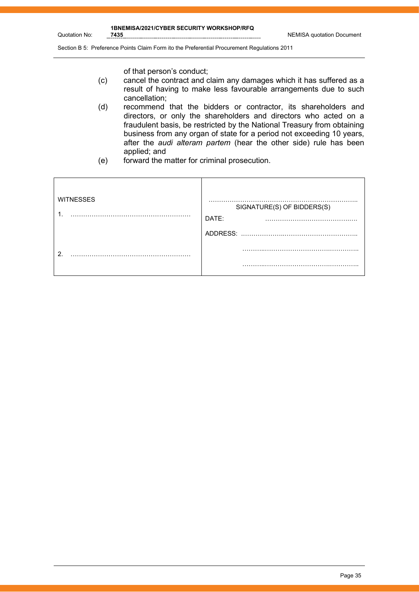**1BNEMISA/2021/CYBER SECURITY WORKSHOP/RFQ** 

Quotation No:

Section B 5: Preference Points Claim Form ito the Preferential Procurement Regulations 2011

of that person's conduct;

- (c) cancel the contract and claim any damages which it has suffered as a result of having to make less favourable arrangements due to such cancellation;
- (d) recommend that the bidders or contractor, its shareholders and directors, or only the shareholders and directors who acted on a fraudulent basis, be restricted by the National Treasury from obtaining business from any organ of state for a period not exceeding 10 years, after the *audi alteram partem* (hear the other side) rule has been applied; and
- (e) forward the matter for criminal prosecution.

| <b>WITNESSES</b><br>. | SIGNATURE(S) OF BIDDERS(S)<br>DATE: |
|-----------------------|-------------------------------------|
|                       | ADDRESS:                            |
| ົ                     |                                     |
|                       | .                                   |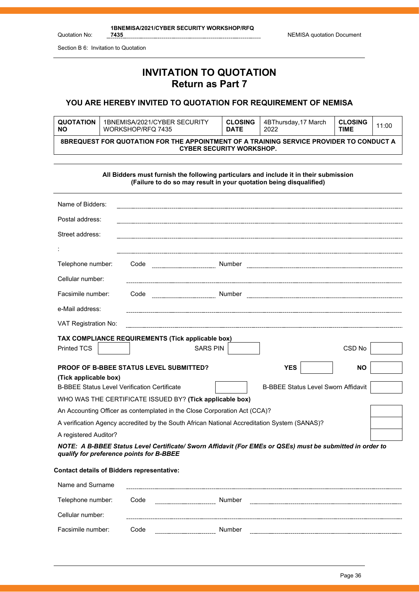**1BNEMISA/2021/CYBER SECURITY WORKSHOP/RFQ** 

Quotation No:

Section B 6: Invitation to Quotation

## **INVITATION TO QUOTATION Return as Part 7**

#### **YOU ARE HEREBY INVITED TO QUOTATION FOR REQUIREMENT OF NEMISA**

| <b>QUOTATION</b>                                                                                                                  | 1BNEMISA/2021/CYBER SECURITY | <b>CLOSING</b> | 4BThursday,17 March | <b>CLOSING</b> | 11:00 |
|-----------------------------------------------------------------------------------------------------------------------------------|------------------------------|----------------|---------------------|----------------|-------|
| <b>NO</b>                                                                                                                         | WORKSHOP/RFQ 7435            | <b>DATE</b>    | 2022                | TIME           |       |
| <b>8BREQUEST FOR QUOTATION FOR THE APPOINTMENT OF A TRAINING SERVICE PROVIDER TO CONDUCT A</b><br><b>CYBER SECURITY WORKSHOP.</b> |                              |                |                     |                |       |

**All Bidders must furnish the following particulars and include it in their submission (Failure to do so may result in your quotation being disqualified)** Name of Bidders: Postal address: Street address: : Telephone number: Code Number Cellular number: Facsimile number: Code Number Number Number Number Number Number Number Number Number Number Number Number Number Number Number Number Number Number Number Number Number Number Number Number Number Number Number Number Num e-Mail address: VAT Registration No: **TAX COMPLIANCE REQUIREMENTS (Tick applicable box)** Printed TCS | | SARS PIN | | CSD No **PROOF OF B-BBEE STATUS LEVEL SUBMITTED? YES NO (Tick applicable box)** B-BBEE Status Level Verification Certificate B-BBEE Status Level Sworn Affidavit WHO WAS THE CERTIFICATE ISSUED BY? **(Tick applicable box)** An Accounting Officer as contemplated in the Close Corporation Act (CCA)? A verification Agency accredited by the South African National Accreditation System (SANAS)? A registered Auditor? *NOTE: A B-BBEE Status Level Certificate/ Sworn Affidavit (For EMEs or QSEs) must be submitted in order to qualify for preference points for B-BBEE* **Contact details of Bidders representative:**

| Name and Surname  |      |        |  |
|-------------------|------|--------|--|
| Telephone number: | Code | Number |  |
| Cellular number:  |      |        |  |
| Facsimile number: | Code | Number |  |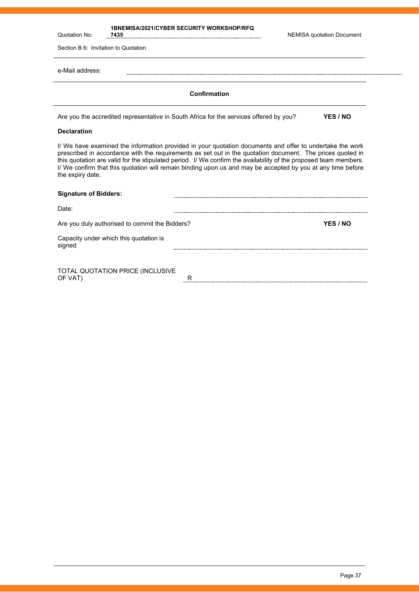| Quotation No:                                                                                                                                                                                                                                                                                                                                                                                                                                                                | <b>1BNEMISA/2021/CYBER SECURITY WORKSHOP/RFQ</b><br>7435                               | <b>NEMISA quotation Document</b> |
|------------------------------------------------------------------------------------------------------------------------------------------------------------------------------------------------------------------------------------------------------------------------------------------------------------------------------------------------------------------------------------------------------------------------------------------------------------------------------|----------------------------------------------------------------------------------------|----------------------------------|
| Section B 6: Invitation to Quotation                                                                                                                                                                                                                                                                                                                                                                                                                                         |                                                                                        |                                  |
| e-Mail address:                                                                                                                                                                                                                                                                                                                                                                                                                                                              |                                                                                        |                                  |
|                                                                                                                                                                                                                                                                                                                                                                                                                                                                              | Confirmation                                                                           |                                  |
|                                                                                                                                                                                                                                                                                                                                                                                                                                                                              | Are you the accredited representative in South Africa for the services offered by you? | YES / NO                         |
| <b>Declaration</b>                                                                                                                                                                                                                                                                                                                                                                                                                                                           |                                                                                        |                                  |
| I/ We have examined the information provided in your quotation documents and offer to undertake the work<br>prescribed in accordance with the requirements as set out in the quotation document. The prices quoted in<br>this quotation are valid for the stipulated period. I/ We confirm the availability of the proposed team members.<br>I/ We confirm that this quotation will remain binding upon us and may be accepted by you at any time before<br>the expiry date. |                                                                                        |                                  |
| <b>Signature of Bidders:</b>                                                                                                                                                                                                                                                                                                                                                                                                                                                 |                                                                                        |                                  |
| Date:                                                                                                                                                                                                                                                                                                                                                                                                                                                                        |                                                                                        |                                  |
|                                                                                                                                                                                                                                                                                                                                                                                                                                                                              | Are you duly authorised to commit the Bidders?                                         | YES / NO                         |

TOTAL QUOTATION PRICE (INCLUSIVE OF VAT) R

Capacity under which this quotation is

signed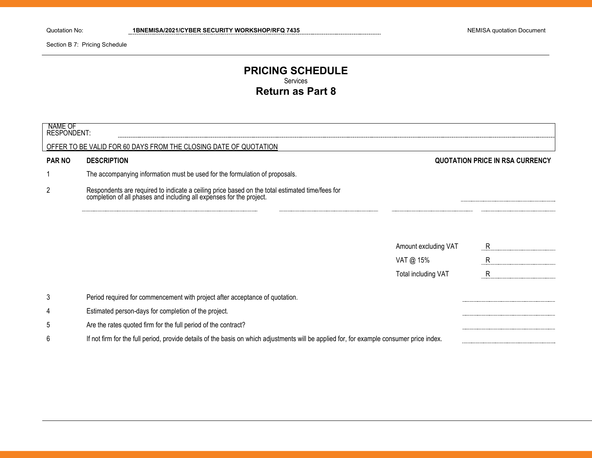Section B 7: Pricing Schedule

#### **PRICING SCHEDULE** Services **Return as Part 8**

| NAME OF<br>RESPONDENT: |                                                                                                                                                                      |                      |                                        |
|------------------------|----------------------------------------------------------------------------------------------------------------------------------------------------------------------|----------------------|----------------------------------------|
|                        | OFFER TO BE VALID FOR 60 DAYS FROM THE CLOSING DATE OF QUOTATION                                                                                                     |                      |                                        |
| <b>PAR NO</b>          | <b>DESCRIPTION</b>                                                                                                                                                   |                      | <b>QUOTATION PRICE IN RSA CURRENCY</b> |
|                        | The accompanying information must be used for the formulation of proposals.                                                                                          |                      |                                        |
| $\overline{2}$         | Respondents are required to indicate a ceiling price based on the total estimated time/fees for completion of all phases and including all expenses for the project. |                      |                                        |
|                        |                                                                                                                                                                      |                      |                                        |
|                        |                                                                                                                                                                      | Amount excluding VAT | R.                                     |
|                        |                                                                                                                                                                      | VAT @ 15%            | R                                      |
|                        |                                                                                                                                                                      | Total including VAT  | $\mathsf{R}$                           |
| 3                      | Period required for commencement with project after acceptance of quotation.                                                                                         |                      |                                        |
| 4                      | Estimated person-days for completion of the project.                                                                                                                 |                      |                                        |
| 5                      | Are the rates quoted firm for the full period of the contract?                                                                                                       |                      |                                        |
| 6                      | If not firm for the full period, provide details of the basis on which adjustments will be applied for, for example consumer price index.                            |                      |                                        |